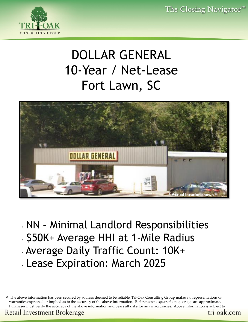

# DOLLAR GENERAL 10-Year / Net-Lease Fort Lawn, SC



- NN Minimal Landlord Responsibilities
- \$50K+ Average HHI at 1-Mile Radius
- Average Daily Traffic Count: 10K+
- Lease Expiration: March 2025

❖ The above information has been secured by sources deemed to be reliable, Tri-Oak Consulting Group makes no representations or warranties expressed or implied as to the accuracy of the above information. References to square footage or age are approximate. Purchaser must verify the accuracy of the above information and bears all risks for any inaccuracies. Above information is subject to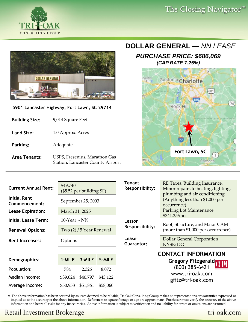



**5901 Lancaster Highway, Fort Lawn, SC 29714** 

| 9,014 Square Feet |
|-------------------|
|                   |

- **Land Size:** 1.0 Approx. Acres
- **Parking:** Adequate
- **Area Tenants:** USPS, Fresenius, Marathon Gas Station, Lancaster County Airport

### **DOLLAR GENERAL —** *NN LEASE*

#### *PURCHASE PRICE: \$686,069 (CAP RATE 7.25%)*



| <b>Current Annual Rent:</b><br><b>Initial Rent</b><br>Commencement:<br><b>Lease Expiration:</b><br><b>Initial Lease Term:</b><br><b>Renewal Options:</b>                         | \$49,740<br>$($5.52$ per building SF)<br>September 25, 2003<br>March 31, 2025<br>$10$ -Year - NN<br>Two (2) / 5 Year Renewal |  | <b>Tenant</b><br><b>Responsibility:</b><br>Lessor<br><b>Responsibility:</b> | RE Taxes, Building Insurance,<br>Minor repairs to heating, lighting,<br>plumbing and air conditioning<br>(Anything less than \$1,000 per<br>occurrence)<br>Parking Lot Maintenance:<br>\$341.25/mos.<br>Roof, Structure, and Major CAM<br>(more than \$1,000 per occurrence) |  |  |  |  |
|----------------------------------------------------------------------------------------------------------------------------------------------------------------------------------|------------------------------------------------------------------------------------------------------------------------------|--|-----------------------------------------------------------------------------|------------------------------------------------------------------------------------------------------------------------------------------------------------------------------------------------------------------------------------------------------------------------------|--|--|--|--|
| <b>Rent Increases:</b>                                                                                                                                                           | Options                                                                                                                      |  | Lease<br>Guarantor:                                                         | <b>Dollar General Corporation</b><br>NYSE: DG                                                                                                                                                                                                                                |  |  |  |  |
| <b>CONTACT INFORMATION</b><br>1-MILE<br>3-MILE<br>5-MILE<br>Demographics:<br>Gregory Fitzgerald COM<br>(800) 385-6421<br>Population:<br>784<br>2,326<br>8,072<br>www.tri-oak.com |                                                                                                                              |  |                                                                             |                                                                                                                                                                                                                                                                              |  |  |  |  |

gfitz@tri-oak.com

❖ The above information has been secured by sources deemed to be reliable, Tri-Oak Consulting Group makes no representations or warranties expressed or implied as to the accuracy of the above information. References to square footage or age are approximate. Purchaser must verify the accuracy of the above information and bears all risks for any inaccuracies. Above information is subject to verification and no liability for errors or omissions are assumed.

Median Income:  $\begin{array}{|l} \hline \text{39,024} & \text{340,797} & \text{343,122} \end{array}$ Average Income:  $\begin{array}{r} | $50,953 \ $51,861 \ $58,060 \end{array}$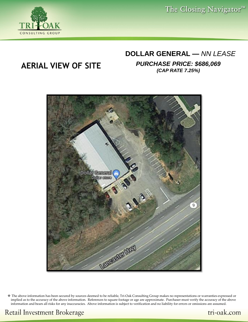

#### **DOLLAR GENERAL —** *NN LEASE*

**AERIAL VIEW OF SITE** *PURCHASE PRICE: \$686,069 (CAP RATE 7.25%)*



❖ The above information has been secured by sources deemed to be reliable, Tri-Oak Consulting Group makes no representations or warranties expressed or implied as to the accuracy of the above information. References to square footage or age are approximate. Purchaser must verify the accuracy of the above information and bears all risks for any inaccuracies. Above information is subject to verification and no liability for errors or omissions are assumed.

**Retail Investment Brokerage** 

tri-oak.com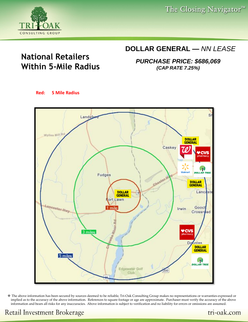#### **DOLLAR GENERAL —** *NN LEASE*

*PURCHASE PRICE: \$686,069 (CAP RATE 7.25%)*



## **National Retailers Within 5-Mile Radius**

**Red: 5 Mile Radius**



❖ The above information has been secured by sources deemed to be reliable, Tri-Oak Consulting Group makes no representations or warranties expressed or implied as to the accuracy of the above information. References to square footage or age are approximate. Purchaser must verify the accuracy of the above information and bears all risks for any inaccuracies. Above information is subject to verification and no liability for errors or omissions are assumed.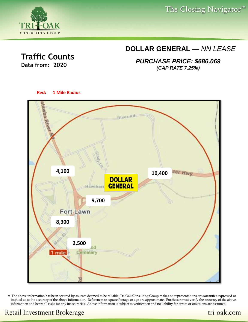#### **DOLLAR GENERAL —** *NN LEASE*

*PURCHASE PRICE: \$686,069 (CAP RATE 7.25%)*



❖ The above information has been secured by sources deemed to be reliable, Tri-Oak Consulting Group makes no representations or warranties expressed or implied as to the accuracy of the above information. References to square footage or age are approximate. Purchaser must verify the accuracy of the above information and bears all risks for any inaccuracies. Above information is subject to verification and no liability for errors or omissions are assumed.

**Traffic Counts** 

**Data from: 2020**

CONSULTING GROUP

#### tri-oak.com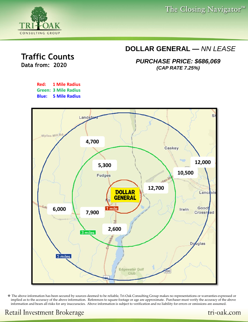### **DOLLAR GENERAL —** *NN LEASE*

*PURCHASE PRICE: \$686,069 (CAP RATE 7.25%)*





❖ The above information has been secured by sources deemed to be reliable, Tri-Oak Consulting Group makes no representations or warranties expressed or implied as to the accuracy of the above information. References to square footage or age are approximate. Purchaser must verify the accuracy of the above information and bears all risks for any inaccuracies. Above information is subject to verification and no liability for errors or omissions are assumed.



**Traffic Counts** 

**Data from: 2020**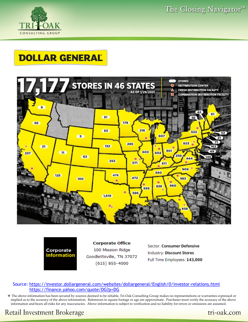

## **DOLLAR GENERAL**





**Corporate Office** 100 Mission Ridge Goodlettsville, TN 37072  $(615) 855 - 4000$ 

Sector: Consumer Defensive **Industry: Discount Stores** Full Time Employees: 143,000

#### Source: <https://investor.dollargeneral.com/websites/dollargeneral/English/0/investor-relations.html> <https://finance.yahoo.com/quote/DG?p=DG>

❖ The above information has been secured by sources deemed to be reliable, Tri-Oak Consulting Group makes no representations or warranties expressed or implied as to the accuracy of the above information. References to square footage or age are approximate. Purchaser must verify the accuracy of the above information and bears all risks for any inaccuracies. Above information is subject to verification and no liability for errors or omissions are assumed.

**Retail Investment Brokerage**